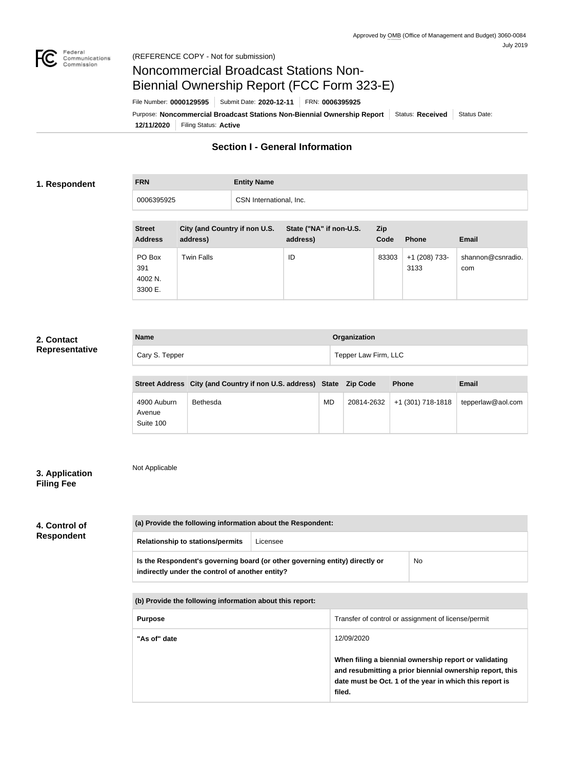

## Noncommercial Broadcast Stations Non-Biennial Ownership Report (FCC Form 323-E)

File Number: **0000129595** Submit Date: **2020-12-11** FRN: **0006395925**

**12/11/2020** Filing Status: **Active** Purpose: Noncommercial Broadcast Stations Non-Biennial Ownership Report Status: Received Status Date:

### **Section I - General Information**

#### **1. Respondent**

# **FRN Entity Name** 0006395925 CSN International, Inc.

| <b>Street</b><br><b>Address</b>     | City (and Country if non U.S.<br>address) | State ("NA" if non-U.S.<br>address) | <b>Zip</b><br>Code | <b>Phone</b>            | <b>Email</b>             |
|-------------------------------------|-------------------------------------------|-------------------------------------|--------------------|-------------------------|--------------------------|
| PO Box<br>391<br>4002 N.<br>3300 E. | <b>Twin Falls</b>                         | ID                                  | 83303              | $+1$ (208) 733-<br>3133 | shannon@csnradio.<br>com |

#### **2. Contact Representative**

| <b>Name</b>    | Organization         |
|----------------|----------------------|
| Cary S. Tepper | Tepper Law Firm, LLC |

|                                    | Street Address City (and Country if non U.S. address) State Zip Code |    |            | <b>Phone</b>      | <b>Email</b>      |
|------------------------------------|----------------------------------------------------------------------|----|------------|-------------------|-------------------|
| 4900 Auburn<br>Avenue<br>Suite 100 | Bethesda                                                             | MD | 20814-2632 | +1 (301) 718-1818 | tepperlaw@aol.com |

#### **3. Application Filing Fee**

Not Applicable

#### **4. Control of Respondent**

| (a) Provide the following information about the Respondent:                                                                    |          |    |  |  |
|--------------------------------------------------------------------------------------------------------------------------------|----------|----|--|--|
| <b>Relationship to stations/permits</b>                                                                                        | Licensee |    |  |  |
| Is the Respondent's governing board (or other governing entity) directly or<br>indirectly under the control of another entity? |          | No |  |  |

**(b) Provide the following information about this report:**

| <b>Purpose</b> | Transfer of control or assignment of license/permit                                                                                                                                    |
|----------------|----------------------------------------------------------------------------------------------------------------------------------------------------------------------------------------|
| "As of" date   | 12/09/2020                                                                                                                                                                             |
|                | When filing a biennial ownership report or validating<br>and resubmitting a prior biennial ownership report, this<br>date must be Oct. 1 of the year in which this report is<br>filed. |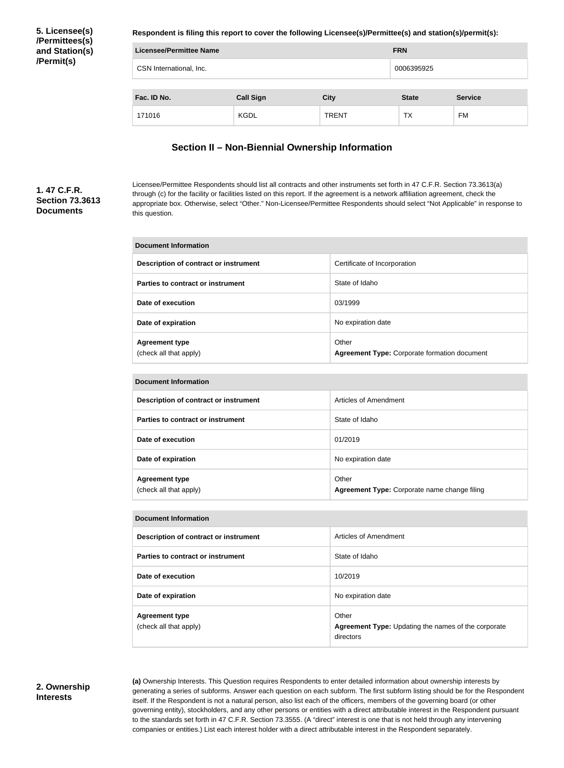**5. Licensee(s) /Permittees(s) and Station(s) /Permit(s)**

**Respondent is filing this report to cover the following Licensee(s)/Permittee(s) and station(s)/permit(s):**

| Licensee/Permittee Name                        | <b>FRN</b>  |              |              |                |
|------------------------------------------------|-------------|--------------|--------------|----------------|
| CSN International, Inc.                        | 0006395925  |              |              |                |
| Fac. ID No.<br><b>Call Sign</b><br><b>City</b> |             |              | <b>State</b> | <b>Service</b> |
| 171016                                         | <b>KGDL</b> | <b>TRENT</b> | ТX           | <b>FM</b>      |

#### **Section II – Non-Biennial Ownership Information**

#### **1. 47 C.F.R. Section 73.3613 Documents**

Licensee/Permittee Respondents should list all contracts and other instruments set forth in 47 C.F.R. Section 73.3613(a) through (c) for the facility or facilities listed on this report. If the agreement is a network affiliation agreement, check the appropriate box. Otherwise, select "Other." Non-Licensee/Permittee Respondents should select "Not Applicable" in response to this question.

| Document Information                            |                                                              |  |  |  |
|-------------------------------------------------|--------------------------------------------------------------|--|--|--|
| Description of contract or instrument           | Certificate of Incorporation                                 |  |  |  |
| Parties to contract or instrument               | State of Idaho                                               |  |  |  |
| Date of execution                               | 03/1999                                                      |  |  |  |
| Date of expiration                              | No expiration date                                           |  |  |  |
| <b>Agreement type</b><br>(check all that apply) | Other<br><b>Agreement Type: Corporate formation document</b> |  |  |  |

| <b>Document Information</b>                     |                                                       |  |  |
|-------------------------------------------------|-------------------------------------------------------|--|--|
| Description of contract or instrument           | Articles of Amendment                                 |  |  |
| <b>Parties to contract or instrument</b>        | State of Idaho                                        |  |  |
| Date of execution                               | 01/2019                                               |  |  |
| Date of expiration                              | No expiration date                                    |  |  |
| <b>Agreement type</b><br>(check all that apply) | Other<br>Agreement Type: Corporate name change filing |  |  |

#### **Document Information**

| Description of contract or instrument           | Articles of Amendment                                                     |
|-------------------------------------------------|---------------------------------------------------------------------------|
| Parties to contract or instrument               | State of Idaho                                                            |
| Date of execution                               | 10/2019                                                                   |
| Date of expiration                              | No expiration date                                                        |
| <b>Agreement type</b><br>(check all that apply) | Other<br>Agreement Type: Updating the names of the corporate<br>directors |

#### **2. Ownership Interests**

**(a)** Ownership Interests. This Question requires Respondents to enter detailed information about ownership interests by generating a series of subforms. Answer each question on each subform. The first subform listing should be for the Respondent itself. If the Respondent is not a natural person, also list each of the officers, members of the governing board (or other governing entity), stockholders, and any other persons or entities with a direct attributable interest in the Respondent pursuant to the standards set forth in 47 C.F.R. Section 73.3555. (A "direct" interest is one that is not held through any intervening companies or entities.) List each interest holder with a direct attributable interest in the Respondent separately.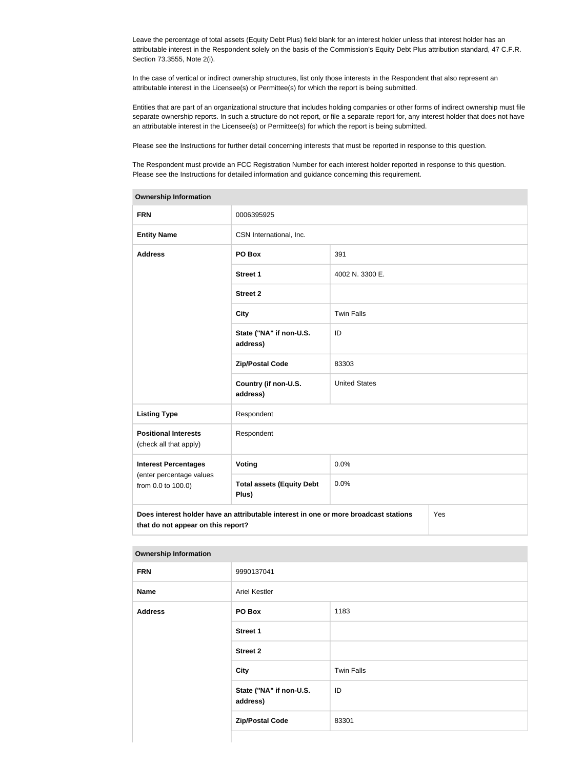Leave the percentage of total assets (Equity Debt Plus) field blank for an interest holder unless that interest holder has an attributable interest in the Respondent solely on the basis of the Commission's Equity Debt Plus attribution standard, 47 C.F.R. Section 73.3555, Note 2(i).

In the case of vertical or indirect ownership structures, list only those interests in the Respondent that also represent an attributable interest in the Licensee(s) or Permittee(s) for which the report is being submitted.

Entities that are part of an organizational structure that includes holding companies or other forms of indirect ownership must file separate ownership reports. In such a structure do not report, or file a separate report for, any interest holder that does not have an attributable interest in the Licensee(s) or Permittee(s) for which the report is being submitted.

Please see the Instructions for further detail concerning interests that must be reported in response to this question.

The Respondent must provide an FCC Registration Number for each interest holder reported in response to this question. Please see the Instructions for detailed information and guidance concerning this requirement.

| <b>Ownership Information</b>                                                                |                                           |                      |  |  |
|---------------------------------------------------------------------------------------------|-------------------------------------------|----------------------|--|--|
| <b>FRN</b>                                                                                  | 0006395925                                |                      |  |  |
| <b>Entity Name</b>                                                                          | CSN International, Inc.                   |                      |  |  |
| <b>Address</b>                                                                              | PO Box                                    | 391                  |  |  |
|                                                                                             | <b>Street 1</b>                           | 4002 N. 3300 E.      |  |  |
|                                                                                             | <b>Street 2</b>                           |                      |  |  |
|                                                                                             | <b>City</b>                               | <b>Twin Falls</b>    |  |  |
|                                                                                             | State ("NA" if non-U.S.<br>address)       | ID                   |  |  |
|                                                                                             | <b>Zip/Postal Code</b>                    | 83303                |  |  |
|                                                                                             | Country (if non-U.S.<br>address)          | <b>United States</b> |  |  |
| <b>Listing Type</b>                                                                         | Respondent                                |                      |  |  |
| <b>Positional Interests</b><br>(check all that apply)                                       | Respondent                                |                      |  |  |
| <b>Interest Percentages</b>                                                                 | Voting                                    | 0.0%                 |  |  |
| (enter percentage values<br>from 0.0 to 100.0)                                              | <b>Total assets (Equity Debt</b><br>Plus) | 0.0%                 |  |  |
| Does interest holder have an attributable interest in one or more broadcast stations<br>Yes |                                           |                      |  |  |
| that do not appear on this report?                                                          |                                           |                      |  |  |

**Ownership Information**

| <b>FRN</b>     | 9990137041                          |                   |  |  |
|----------------|-------------------------------------|-------------------|--|--|
| <b>Name</b>    | <b>Ariel Kestler</b>                |                   |  |  |
| <b>Address</b> | PO Box                              | 1183              |  |  |
|                | Street 1                            |                   |  |  |
|                | <b>Street 2</b>                     |                   |  |  |
|                | <b>City</b>                         | <b>Twin Falls</b> |  |  |
|                | State ("NA" if non-U.S.<br>address) | ID                |  |  |
|                | <b>Zip/Postal Code</b>              | 83301             |  |  |
|                |                                     |                   |  |  |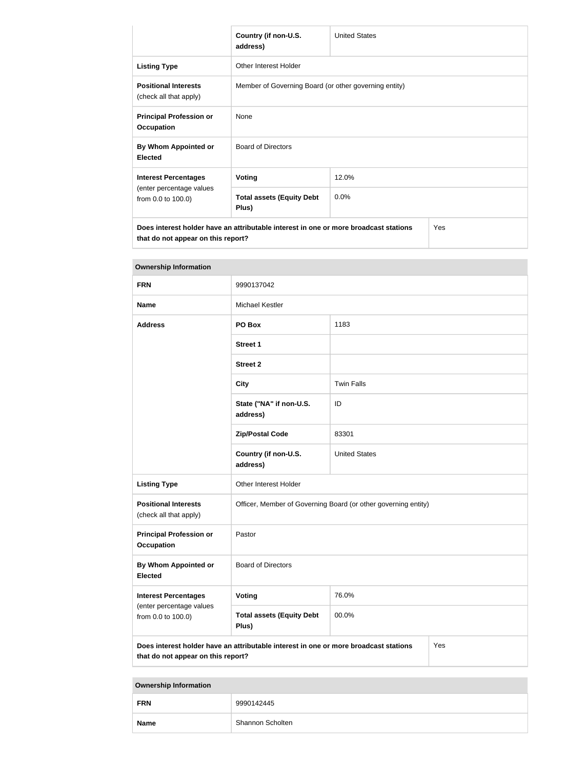|                                                                                                                                   | Country (if non-U.S.<br>address)                      | <b>United States</b> |  |  |
|-----------------------------------------------------------------------------------------------------------------------------------|-------------------------------------------------------|----------------------|--|--|
| <b>Listing Type</b>                                                                                                               | Other Interest Holder                                 |                      |  |  |
| <b>Positional Interests</b><br>(check all that apply)                                                                             | Member of Governing Board (or other governing entity) |                      |  |  |
| <b>Principal Profession or</b><br><b>Occupation</b>                                                                               | <b>None</b>                                           |                      |  |  |
| By Whom Appointed or<br><b>Elected</b>                                                                                            | <b>Board of Directors</b>                             |                      |  |  |
| <b>Interest Percentages</b>                                                                                                       | <b>Voting</b>                                         | 12.0%                |  |  |
| (enter percentage values<br>from 0.0 to 100.0)                                                                                    | <b>Total assets (Equity Debt</b><br>Plus)             | 0.0%                 |  |  |
| Does interest holder have an attributable interest in one or more broadcast stations<br>Yes<br>that do not appear on this report? |                                                       |                      |  |  |

| <b>Ownership Information</b>                                                                                                      |                                                                |                      |  |
|-----------------------------------------------------------------------------------------------------------------------------------|----------------------------------------------------------------|----------------------|--|
| <b>FRN</b>                                                                                                                        | 9990137042                                                     |                      |  |
| <b>Name</b>                                                                                                                       | <b>Michael Kestler</b>                                         |                      |  |
| <b>Address</b>                                                                                                                    | PO Box                                                         | 1183                 |  |
|                                                                                                                                   | <b>Street 1</b>                                                |                      |  |
|                                                                                                                                   | <b>Street 2</b>                                                |                      |  |
|                                                                                                                                   | <b>City</b>                                                    | <b>Twin Falls</b>    |  |
|                                                                                                                                   | State ("NA" if non-U.S.<br>address)                            | ID                   |  |
|                                                                                                                                   | <b>Zip/Postal Code</b>                                         | 83301                |  |
|                                                                                                                                   | Country (if non-U.S.<br>address)                               | <b>United States</b> |  |
| <b>Listing Type</b>                                                                                                               | Other Interest Holder                                          |                      |  |
| <b>Positional Interests</b><br>(check all that apply)                                                                             | Officer, Member of Governing Board (or other governing entity) |                      |  |
| <b>Principal Profession or</b><br><b>Occupation</b>                                                                               | Pastor                                                         |                      |  |
| By Whom Appointed or<br><b>Elected</b>                                                                                            | <b>Board of Directors</b>                                      |                      |  |
| <b>Interest Percentages</b>                                                                                                       | Voting                                                         | 76.0%                |  |
| (enter percentage values<br>from 0.0 to 100.0)                                                                                    | <b>Total assets (Equity Debt</b><br>Plus)                      | 00.0%                |  |
| Does interest holder have an attributable interest in one or more broadcast stations<br>Yes<br>that do not appear on this report? |                                                                |                      |  |

| <b>Ownership Information</b> |
|------------------------------|
|                              |

| <b>FRN</b>  | 9990142445       |
|-------------|------------------|
| <b>Name</b> | Shannon Scholten |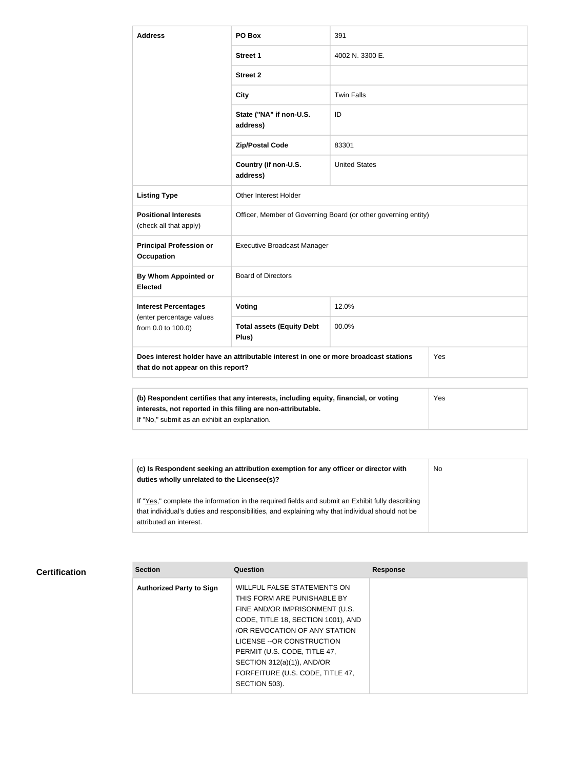| <b>Address</b>                                                                                                                                             | PO Box                                                         | 391                  |  |
|------------------------------------------------------------------------------------------------------------------------------------------------------------|----------------------------------------------------------------|----------------------|--|
|                                                                                                                                                            | <b>Street 1</b>                                                | 4002 N. 3300 E.      |  |
|                                                                                                                                                            | <b>Street 2</b>                                                |                      |  |
|                                                                                                                                                            | <b>City</b>                                                    | <b>Twin Falls</b>    |  |
|                                                                                                                                                            | State ("NA" if non-U.S.<br>address)                            | ID                   |  |
|                                                                                                                                                            | <b>Zip/Postal Code</b>                                         | 83301                |  |
|                                                                                                                                                            | Country (if non-U.S.<br>address)                               | <b>United States</b> |  |
| <b>Listing Type</b>                                                                                                                                        | <b>Other Interest Holder</b>                                   |                      |  |
| <b>Positional Interests</b><br>(check all that apply)                                                                                                      | Officer, Member of Governing Board (or other governing entity) |                      |  |
| <b>Principal Profession or</b><br><b>Occupation</b>                                                                                                        | <b>Executive Broadcast Manager</b>                             |                      |  |
| <b>By Whom Appointed or</b><br><b>Elected</b>                                                                                                              | <b>Board of Directors</b>                                      |                      |  |
| <b>Interest Percentages</b><br>(enter percentage values<br>from 0.0 to 100.0)                                                                              | Voting                                                         | 12.0%                |  |
|                                                                                                                                                            | <b>Total assets (Equity Debt</b><br>Plus)                      | 00.0%                |  |
| Does interest holder have an attributable interest in one or more broadcast stations<br>Yes<br>that do not appear on this report?                          |                                                                |                      |  |
|                                                                                                                                                            |                                                                |                      |  |
| (b) Respondent certifies that any interests, including equity, financial, or voting<br>Yes<br>interests, not reported in this filing are non-attributable. |                                                                |                      |  |

If "No," submit as an exhibit an explanation.

| (c) Is Respondent seeking an attribution exemption for any officer or director with<br>duties wholly unrelated to the Licensee(s)?                                                                  | No |
|-----------------------------------------------------------------------------------------------------------------------------------------------------------------------------------------------------|----|
| If "Yes," complete the information in the required fields and submit an Exhibit fully describing<br>that individual's duties and responsibilities, and explaining why that individual should not be |    |
| attributed an interest.                                                                                                                                                                             |    |

#### **Certification**

| <b>Section</b>                  | Question                                                   | <b>Response</b> |
|---------------------------------|------------------------------------------------------------|-----------------|
| <b>Authorized Party to Sign</b> | WILLFUL FALSE STATEMENTS ON<br>THIS FORM ARE PUNISHABLE BY |                 |
|                                 | FINE AND/OR IMPRISONMENT (U.S.                             |                 |
|                                 | CODE, TITLE 18, SECTION 1001), AND                         |                 |
|                                 | OR REVOCATION OF ANY STATION                               |                 |
|                                 | LICENSE -- OR CONSTRUCTION                                 |                 |
|                                 | PERMIT (U.S. CODE, TITLE 47,                               |                 |
|                                 | SECTION 312(a)(1)), AND/OR                                 |                 |
|                                 | FORFEITURE (U.S. CODE, TITLE 47,                           |                 |
|                                 | SECTION 503).                                              |                 |
|                                 |                                                            |                 |